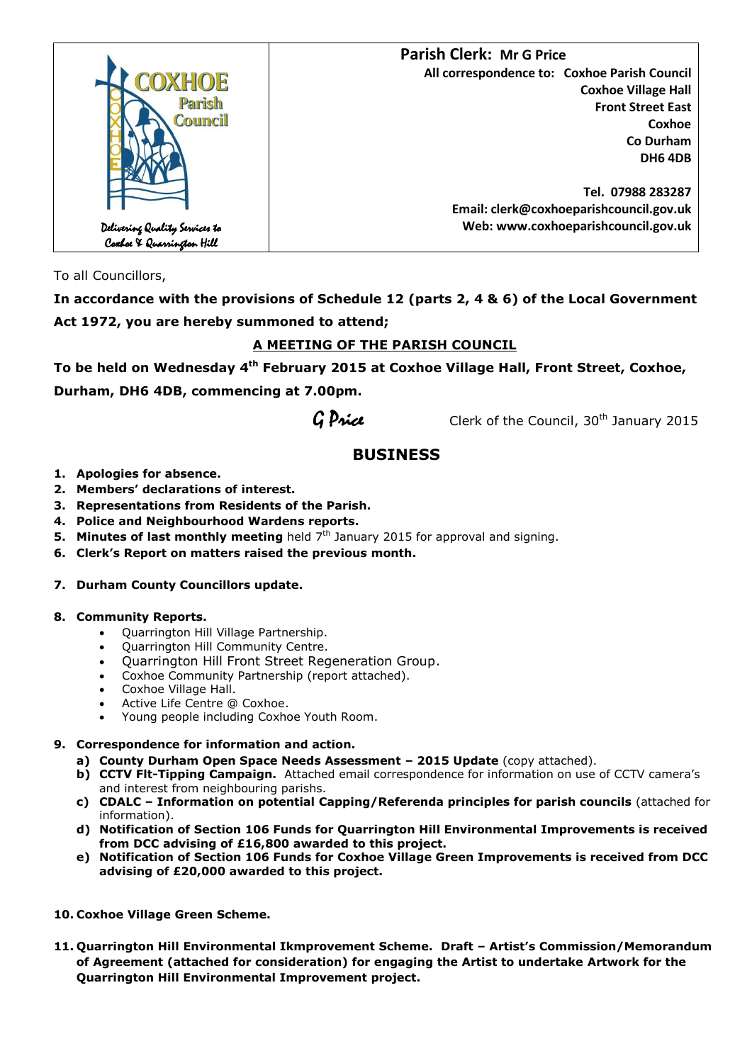

To all Councillors,

**In accordance with the provisions of Schedule 12 (parts 2, 4 & 6) of the Local Government Act 1972, you are hereby summoned to attend;**

## **A MEETING OF THE PARISH COUNCIL**

**To be held on Wednesday 4 th February 2015 at Coxhoe Village Hall, Front Street, Coxhoe,** 

**Durham, DH6 4DB, commencing at 7.00pm.**

 $G$  *Price* Clerk of the Council, 30<sup>th</sup> January 2015

# **BUSINESS**

- **1. Apologies for absence.**
- **2. Members' declarations of interest.**
- **3. Representations from Residents of the Parish.**
- **4. Police and Neighbourhood Wardens reports.**
- **5. Minutes of last monthly meeting** held 7<sup>th</sup> January 2015 for approval and signing.
- **6. Clerk's Report on matters raised the previous month.**

## **7. Durham County Councillors update.**

#### **8. Community Reports.**

- Quarrington Hill Village Partnership.
- Quarrington Hill Community Centre.
- Quarrington Hill Front Street Regeneration Group.
- Coxhoe Community Partnership (report attached).
- Coxhoe Village Hall.
- Active Life Centre @ Coxhoe.
- Young people including Coxhoe Youth Room.

## **9. Correspondence for information and action.**

- **a) County Durham Open Space Needs Assessment – 2015 Update** (copy attached).
- **b) CCTV Flt-Tipping Campaign.** Attached email correspondence for information on use of CCTV camera's and interest from neighbouring parishs.
- **c) CDALC – Information on potential Capping/Referenda principles for parish councils** (attached for information).
- **d) Notification of Section 106 Funds for Quarrington Hill Environmental Improvements is received from DCC advising of £16,800 awarded to this project.**
- **e) Notification of Section 106 Funds for Coxhoe Village Green Improvements is received from DCC advising of £20,000 awarded to this project.**
- **10. Coxhoe Village Green Scheme.**
- **11. Quarrington Hill Environmental Ikmprovement Scheme. Draft – Artist's Commission/Memorandum of Agreement (attached for consideration) for engaging the Artist to undertake Artwork for the Quarrington Hill Environmental Improvement project.**